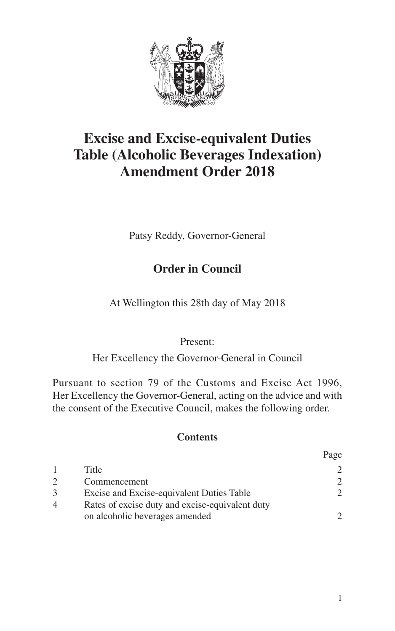

# **Excise and Excise-equivalent Duties Table (Alcoholic Beverages Indexation) Amendment Order 2018**

Patsy Reddy, Governor-General

### **Order in Council**

At Wellington this 28th day of May 2018

#### Present:

Her Excellency the Governor-General in Council

Pursuant to section 79 of the Customs and Excise Act 1996, Her Excellency the Governor-General, acting on the advice and with the consent of the Executive Council, makes the following order.

#### **Contents**

|   |                                                                                   | rage                        |
|---|-----------------------------------------------------------------------------------|-----------------------------|
|   | Title                                                                             |                             |
|   | Commencement                                                                      | $\mathcal{D}_{\mathcal{L}}$ |
| 3 | Excise and Excise-equivalent Duties Table                                         | $\mathcal{D}$               |
| 4 | Rates of excise duty and excise-equivalent duty<br>on alcoholic beverages amended | $\mathcal{D}$               |
|   |                                                                                   |                             |

 $\mathbf{p}_{\text{max}}$